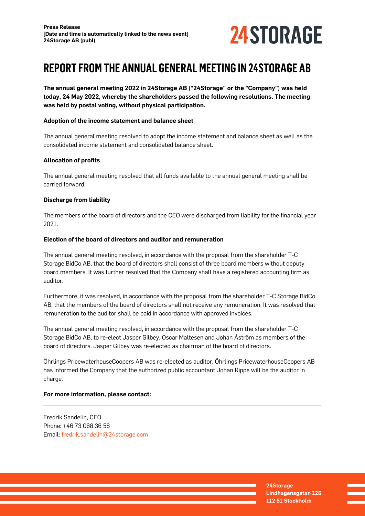

# **REPORT FROM THE ANNUAL GENERAL MEETING IN 24STORAGE AB**

**The annual general meeting 2022 in 24Storage AB ("24Storage" or the "Company") was held today, 24 May 2022, whereby the shareholders passed the following resolutions. The meeting was held by postal voting, without physical participation.**

### **Adoption of the income statement and balance sheet**

The annual general meeting resolved to adopt the income statement and balance sheet as well as the consolidated income statement and consolidated balance sheet.

## **Allocation of profits**

The annual general meeting resolved that all funds available to the annual general meeting shall be carried forward.

### **Discharge from liability**

The members of the board of directors and the CEO were discharged from liability for the financial year 2021.

### **Election of the board of directors and auditor and remuneration**

The annual general meeting resolved, in accordance with the proposal from the shareholder T-C Storage BidCo AB, that the board of directors shall consist of three board members without deputy board members. It was further resolved that the Company shall have a registered accounting firm as auditor.

Furthermore, it was resolved, in accordance with the proposal from the shareholder T-C Storage BidCo AB, that the members of the board of directors shall not receive any remuneration. It was resolved that remuneration to the auditor shall be paid in accordance with approved invoices.

The annual general meeting resolved, in accordance with the proposal from the shareholder T-C Storage BidCo AB, to re-elect Jasper Gilbey, Oscar Maltesen and Johan Åström as members of the board of directors. Jasper Gilbey was re-elected as chairman of the board of directors.

Öhrlings PricewaterhouseCoopers AB was re-elected as auditor. Öhrlings PricewaterhouseCoopers AB has informed the Company that the authorized public accountant Johan Rippe will be the auditor in charge.

### **For more information, please contact:**

Fredrik Sandelin, CEO Phone: +46 73 068 36 58 Email: [fredrik.sandelin@24storage.com](mailto:fredrik.sandelin@24storage.com)

> **24Storage Lindhagensgatan 126 112 51 Stockholm**